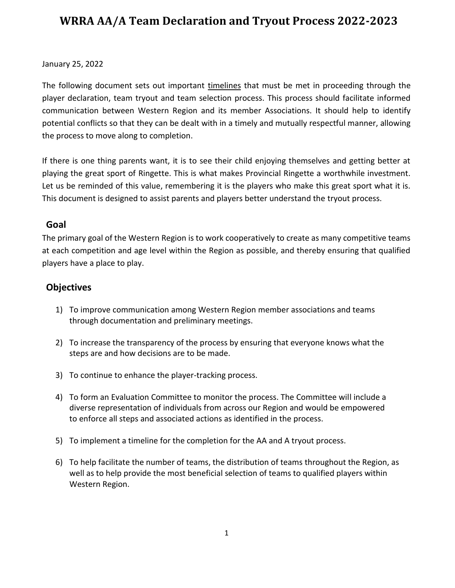#### January 25, 2022

The following document sets out important timelines that must be met in proceeding through the player declaration, team tryout and team selection process. This process should facilitate informed communication between Western Region and its member Associations. It should help to identify potential conflicts so that they can be dealt with in a timely and mutually respectful manner, allowing the process to move along to completion.

If there is one thing parents want, it is to see their child enjoying themselves and getting better at playing the great sport of Ringette. This is what makes Provincial Ringette a worthwhile investment. Let us be reminded of this value, remembering it is the players who make this great sport what it is. This document is designed to assist parents and players better understand the tryout process.

#### **Goal**

The primary goal of the Western Region is to work cooperatively to create as many competitive teams at each competition and age level within the Region as possible, and thereby ensuring that qualified players have a place to play.

#### **Objectives**

- 1) To improve communication among Western Region member associations and teams through documentation and preliminary meetings.
- 2) To increase the transparency of the process by ensuring that everyone knows what the steps are and how decisions are to be made.
- 3) To continue to enhance the player-tracking process.
- 4) To form an Evaluation Committee to monitor the process. The Committee will include a diverse representation of individuals from across our Region and would be empowered to enforce all steps and associated actions as identified in the process.
- 5) To implement a timeline for the completion for the AA and A tryout process.
- 6) To help facilitate the number of teams, the distribution of teams throughout the Region, as well as to help provide the most beneficial selection of teams to qualified players within Western Region.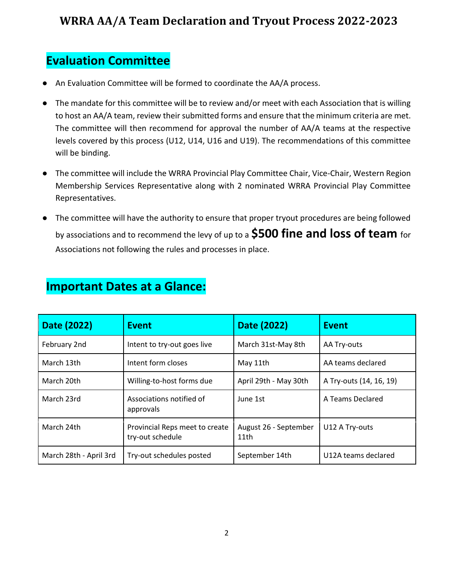## **Evaluation Committee**

- An Evaluation Committee will be formed to coordinate the AA/A process.
- The mandate for this committee will be to review and/or meet with each Association that is willing to host an AA/A team, review their submitted forms and ensure that the minimum criteria are met. The committee will then recommend for approval the number of AA/A teams at the respective levels covered by this process (U12, U14, U16 and U19). The recommendations of this committee will be binding.
- The committee will include the WRRA Provincial Play Committee Chair, Vice-Chair, Western Region Membership Services Representative along with 2 nominated WRRA Provincial Play Committee Representatives.
- The committee will have the authority to ensure that proper tryout procedures are being followed by associations and to recommend the levy of up to a **\$500 fine and loss of team** for Associations not following the rules and processes in place.

| Date (2022)            | <b>Event</b>                                       | Date (2022)                   | <b>Event</b>            |
|------------------------|----------------------------------------------------|-------------------------------|-------------------------|
| February 2nd           | Intent to try-out goes live                        | March 31st-May 8th            | AA Try-outs             |
| March 13th             | Intent form closes                                 | May 11th                      | AA teams declared       |
| March 20th             | Willing-to-host forms due                          | April 29th - May 30th         | A Try-outs (14, 16, 19) |
| March 23rd             | Associations notified of<br>approvals              | June 1st                      | A Teams Declared        |
| March 24th             | Provincial Reps meet to create<br>try-out schedule | August 26 - September<br>11th | U12 A Try-outs          |
| March 28th - April 3rd | Try-out schedules posted                           | September 14th                | U12A teams declared     |

#### **Important Dates at a Glance:**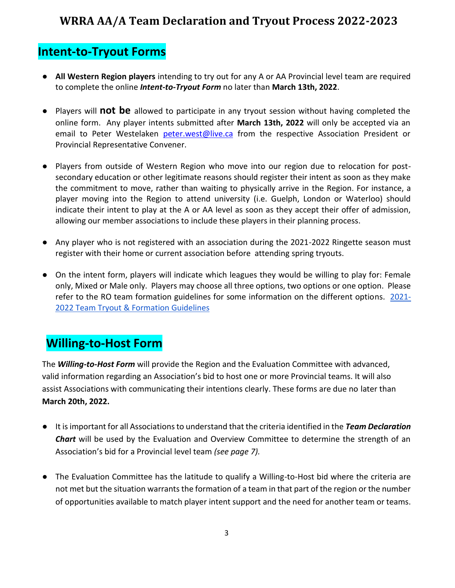## **Intent-to-Tryout Forms**

- **All Western Region players** intending to try out for any A or AA Provincial level team are required to complete the online *Intent-to-Tryout Form* no later than **March 13th, 2022**.
- Players will **not be** allowed to participate in any tryout session without having completed the online form. Any player intents submitted after **March 13th, 2022** will only be accepted via an email to Peter Westelaken [peter.west@live.ca](mailto:peter.west@live.ca) from the respective Association President or Provincial Representative Convener.
- Players from outside of Western Region who move into our region due to relocation for postsecondary education or other legitimate reasons should register their intent as soon as they make the commitment to move, rather than waiting to physically arrive in the Region. For instance, a player moving into the Region to attend university (i.e. Guelph, London or Waterloo) should indicate their intent to play at the A or AA level as soon as they accept their offer of admission, allowing our member associations to include these players in their planning process.
- Any player who is not registered with an association during the 2021-2022 Ringette season must register with their home or current association before attending spring tryouts.
- On the intent form, players will indicate which leagues they would be willing to play for: Female only, Mixed or Male only. Players may choose all three options, two options or one option. Please refer to the RO team formation guidelines for some information on the different options. [2021-](https://ringetteontario.com/wp-content/uploads/2021/09/Team-Tryout-Formation-Guidelines.pdf) [2022 Team Tryout & Formation Guidelines](https://ringetteontario.com/wp-content/uploads/2021/09/Team-Tryout-Formation-Guidelines.pdf)

## **Willing-to-Host Form**

The *Willing-to-Host Form* will provide the Region and the Evaluation Committee with advanced, valid information regarding an Association's bid to host one or more Provincial teams. It will also assist Associations with communicating their intentions clearly. These forms are due no later than **March 20th, 2022.**

- It is important for all Associations to understand that the criteria identified in the *Team Declaration Chart* will be used by the Evaluation and Overview Committee to determine the strength of an Association's bid for a Provincial level team *(see page 7).*
- The Evaluation Committee has the latitude to qualify a Willing-to-Host bid where the criteria are not met but the situation warrants the formation of a team in that part of the region or the number of opportunities available to match player intent support and the need for another team or teams.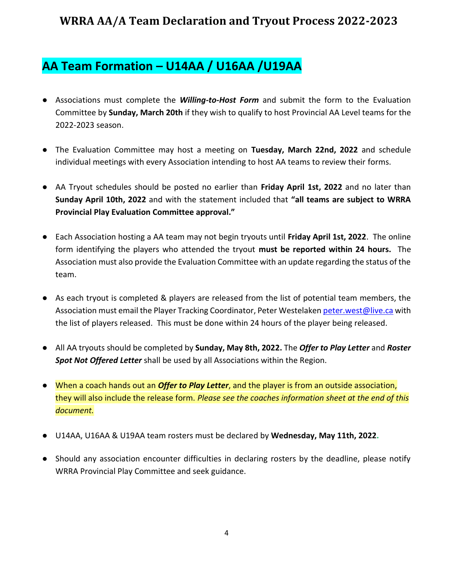## **AA Team Formation – U14AA / U16AA /U19AA**

- Associations must complete the *Willing-to-Host Form* and submit the form to the Evaluation Committee by **Sunday, March 20th** if they wish to qualify to host Provincial AA Level teams for the 2022-2023 season.
- The Evaluation Committee may host a meeting on **Tuesday, March 22nd, 2022** and schedule individual meetings with every Association intending to host AA teams to review their forms.
- AA Tryout schedules should be posted no earlier than **Friday April 1st, 2022** and no later than **Sunday April 10th, 2022** and with the statement included that **"all teams are subject to WRRA Provincial Play Evaluation Committee approval."**
- Each Association hosting a AA team may not begin tryouts until **Friday April 1st, 2022**. The online form identifying the players who attended the tryout **must be reported within 24 hours.** The Association must also provide the Evaluation Committee with an update regarding the status of the team.
- As each tryout is completed & players are released from the list of potential team members, the Association must email the Player Tracking Coordinator, Peter Westelaken [peter.west@live.ca](mailto:peter.west@live.ca) with the list of players released. This must be done within 24 hours of the player being released.
- All AA tryouts should be completed by **Sunday, May 8th, 2022.** The *Offer to Play Letter* and *Roster Spot Not Offered Letter* shall be used by all Associations within the Region.
- When a coach hands out an *Offer to Play Letter*, and the player is from an outside association, they will also include the release form. *Please see the coaches information sheet at the end of this document.*
- U14AA, U16AA & U19AA team rosters must be declared by **Wednesday, May 11th, 2022.**
- Should any association encounter difficulties in declaring rosters by the deadline, please notify WRRA Provincial Play Committee and seek guidance.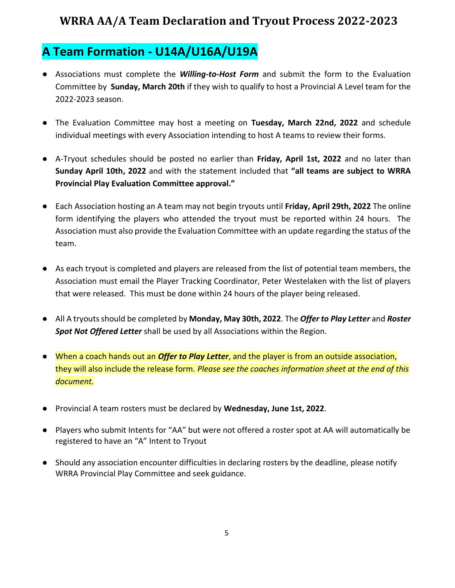## **A Team Formation - U14A/U16A/U19A**

- Associations must complete the *Willing-to-Host Form* and submit the form to the Evaluation Committee by **Sunday, March 20th** if they wish to qualify to host a Provincial A Level team for the 2022-2023 season.
- The Evaluation Committee may host a meeting on **Tuesday, March 22nd, 2022** and schedule individual meetings with every Association intending to host A teams to review their forms.
- A-Tryout schedules should be posted no earlier than **Friday, April 1st, 2022** and no later than **Sunday April 10th, 2022** and with the statement included that **"all teams are subject to WRRA Provincial Play Evaluation Committee approval."**
- Each Association hosting an A team may not begin tryouts until **Friday, April 29th, 2022** The online form identifying the players who attended the tryout must be reported within 24 hours. The Association must also provide the Evaluation Committee with an update regarding the status of the team.
- As each tryout is completed and players are released from the list of potential team members, the Association must email the Player Tracking Coordinator, Peter Westelaken with the list of players that were released. This must be done within 24 hours of the player being released.
- All A tryouts should be completed by **Monday, May 30th, 2022**. The *Offer to Play Letter* and *Roster Spot Not Offered Letter* shall be used by all Associations within the Region.
- When a coach hands out an *Offer to Play Letter*, and the player is from an outside association, they will also include the release form. *Please see the coaches information sheet at the end of this document.*
- Provincial A team rosters must be declared by **Wednesday, June 1st, 2022**.
- Players who submit Intents for "AA" but were not offered a roster spot at AA will automatically be registered to have an "A" Intent to Tryout
- Should any association encounter difficulties in declaring rosters by the deadline, please notify WRRA Provincial Play Committee and seek guidance.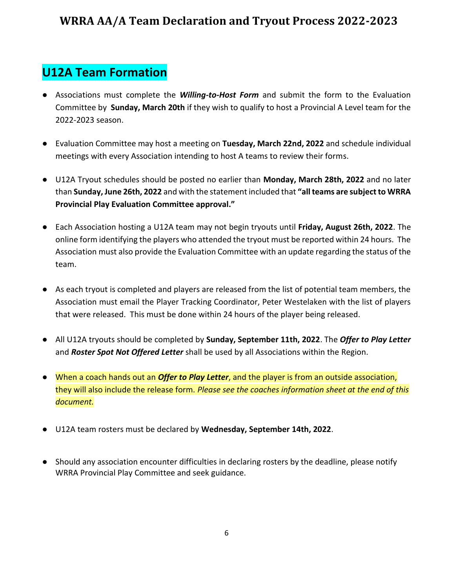## **U12A Team Formation**

- Associations must complete the *Willing-to-Host Form* and submit the form to the Evaluation Committee by **Sunday, March 20th** if they wish to qualify to host a Provincial A Level team for the 2022-2023 season.
- Evaluation Committee may host a meeting on **Tuesday, March 22nd, 2022** and schedule individual meetings with every Association intending to host A teams to review their forms.
- U12A Tryout schedules should be posted no earlier than **Monday, March 28th, 2022** and no later than **Sunday, June 26th, 2022** and with the statement included that **"all teams are subject to WRRA Provincial Play Evaluation Committee approval."**
- Each Association hosting a U12A team may not begin tryouts until **Friday, August 26th, 2022**. The online form identifying the players who attended the tryout must be reported within 24 hours. The Association must also provide the Evaluation Committee with an update regarding the status of the team.
- As each tryout is completed and players are released from the list of potential team members, the Association must email the Player Tracking Coordinator, Peter Westelaken with the list of players that were released. This must be done within 24 hours of the player being released.
- All U12A tryouts should be completed by **Sunday, September 11th, 2022**. The *Offer to Play Letter*  and *Roster Spot Not Offered Letter* shall be used by all Associations within the Region.
- When a coach hands out an *Offer to Play Letter*, and the player is from an outside association, they will also include the release form. *Please see the coaches information sheet at the end of this document.*
- U12A team rosters must be declared by **Wednesday, September 14th, 2022**.
- Should any association encounter difficulties in declaring rosters by the deadline, please notify WRRA Provincial Play Committee and seek guidance.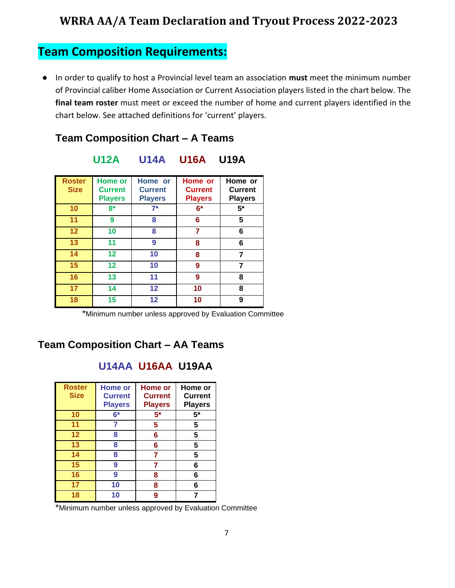## **Team Composition Requirements:**

● In order to qualify to host a Provincial level team an association **must** meet the minimum number of Provincial caliber Home Association or Current Association players listed in the chart below. The **final team roster** must meet or exceed the number of home and current players identified in the chart below. See attached definitions for 'current' players.

#### **Team Composition Chart – A Teams**

| <b>Roster</b><br><b>Size</b> | <b>Home or</b><br><b>Current</b><br><b>Players</b> | Home or<br><b>Current</b><br><b>Players</b> | Home or<br><b>Current</b><br><b>Players</b> | Home or<br><b>Current</b><br><b>Players</b> |
|------------------------------|----------------------------------------------------|---------------------------------------------|---------------------------------------------|---------------------------------------------|
| 10                           | $8*$                                               | $7^*$                                       | $6*$                                        | $5*$                                        |
| 11                           | 9                                                  | 8                                           | 6                                           | 5                                           |
| 12                           | 10                                                 | 8                                           | 7                                           | 6                                           |
| 13                           | 11                                                 | 9                                           | 8                                           | 6                                           |
| 14                           | 12                                                 | 10                                          | 8                                           | 7                                           |
| 15                           | 12                                                 | 10                                          | 9                                           | 7                                           |
| 16                           | 13                                                 | 11                                          | 9                                           | 8                                           |
| 17                           | 14                                                 | 12                                          | 10                                          | 8                                           |
| 18                           | 15                                                 | 12                                          | 10                                          | 9                                           |

#### **U12A U14A U16A U19A**

\*Minimum number unless approved by Evaluation Committee

#### **Team Composition Chart – AA Teams**

#### **U14AA U16AA U19AA**

| <b>Roster</b><br><b>Size</b> | <b>Home or</b><br><b>Current</b><br><b>Players</b> | <b>Home or</b><br><b>Current</b><br><b>Players</b> | Home or<br><b>Current</b><br><b>Players</b> |
|------------------------------|----------------------------------------------------|----------------------------------------------------|---------------------------------------------|
| 10                           | $6*$                                               | 5*                                                 | $5*$                                        |
| 11                           | 7                                                  | 5                                                  | 5                                           |
| $12 \,$                      | 8                                                  | 6                                                  | 5                                           |
| 13                           | 8                                                  | 6                                                  | 5                                           |
| 14                           | 8                                                  | 7                                                  | 5                                           |
| 15                           | 9                                                  | 7                                                  | 6                                           |
| 16                           | 9                                                  | 8                                                  | 6                                           |
|                              | 10                                                 | 8                                                  | 6                                           |
| 18                           | 10                                                 | 9                                                  | 7                                           |

\*Minimum number unless approved by Evaluation Committee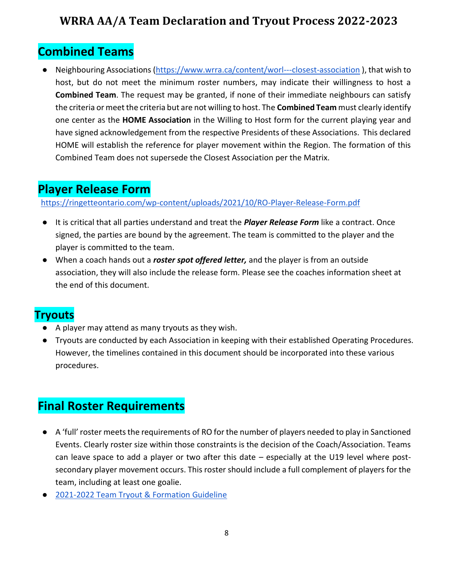## **Combined Teams**

Neighbouring Associations [\(https://www.wrra.ca/content/worl---closest-association](https://www.wrra.ca/content/worl---closest-association) ), that wish to host, but do not meet the minimum roster numbers, may indicate their willingness to host a **Combined Team**. The request may be granted, if none of their immediate neighbours can satisfy the criteria or meet the criteria but are not willing to host. The **Combined Team** must clearly identify one center as the **HOME Association** in the Willing to Host form for the current playing year and have signed acknowledgement from the respective Presidents of these Associations. This declared HOME will establish the reference for player movement within the Region. The formation of this Combined Team does not supersede the Closest Association per the Matrix.

## **Player Release Form**

<https://ringetteontario.com/wp-content/uploads/2021/10/RO-Player-Release-Form.pdf>

- It is critical that all parties understand and treat the *Player Release Form* like a contract. Once signed, the parties are bound by the agreement. The team is committed to the player and the player is committed to the team.
- When a coach hands out a *roster spot offered letter,* and the player is from an outside association, they will also include the release form. Please see the coaches information sheet at the end of this document.

### **Tryouts**

- A player may attend as many tryouts as they wish.
- Tryouts are conducted by each Association in keeping with their established Operating Procedures. However, the timelines contained in this document should be incorporated into these various procedures.

## **Final Roster Requirements**

- A 'full' roster meets the requirements of RO for the number of players needed to play in Sanctioned Events. Clearly roster size within those constraints is the decision of the Coach/Association. Teams can leave space to add a player or two after this date – especially at the U19 level where postsecondary player movement occurs. This roster should include a full complement of players for the team, including at least one goalie.
- [2021-2022 Team Tryout & Formation Guideline](https://ringetteontario.com/wp-content/uploads/2021/09/Team-Tryout-Formation-Guidelines.pdf)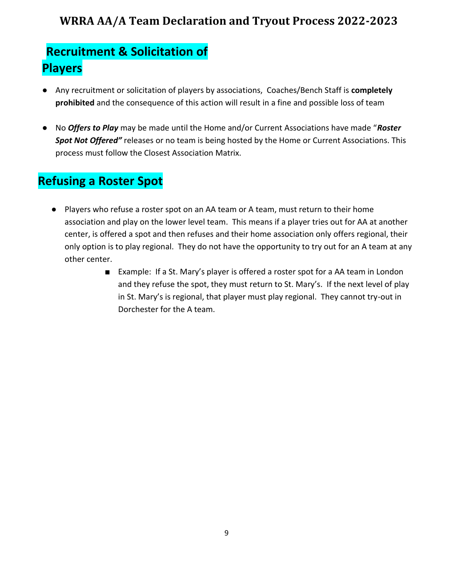# **Recruitment & Solicitation of Players**

- Any recruitment or solicitation of players by associations, Coaches/Bench Staff is **completely prohibited** and the consequence of this action will result in a fine and possible loss of team
- No *Offers to Play* may be made until the Home and/or Current Associations have made "*Roster Spot Not Offered"* releases or no team is being hosted by the Home or Current Associations. This process must follow the Closest Association Matrix.

## **Refusing a Roster Spot**

- Players who refuse a roster spot on an AA team or A team, must return to their home association and play on the lower level team. This means if a player tries out for AA at another center, is offered a spot and then refuses and their home association only offers regional, their only option is to play regional. They do not have the opportunity to try out for an A team at any other center.
	- Example: If a St. Mary's player is offered a roster spot for a AA team in London and they refuse the spot, they must return to St. Mary's. If the next level of play in St. Mary's is regional, that player must play regional. They cannot try-out in Dorchester for the A team.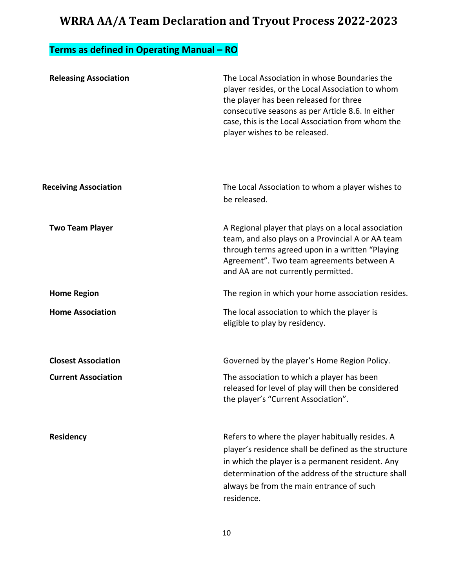## **Terms as defined in Operating Manual – RO**

| <b>Releasing Association</b> | The Local Association in whose Boundaries the<br>player resides, or the Local Association to whom<br>the player has been released for three<br>consecutive seasons as per Article 8.6. In either<br>case, this is the Local Association from whom the<br>player wishes to be released. |
|------------------------------|----------------------------------------------------------------------------------------------------------------------------------------------------------------------------------------------------------------------------------------------------------------------------------------|
| <b>Receiving Association</b> | The Local Association to whom a player wishes to<br>be released.                                                                                                                                                                                                                       |
| <b>Two Team Player</b>       | A Regional player that plays on a local association<br>team, and also plays on a Provincial A or AA team<br>through terms agreed upon in a written "Playing<br>Agreement". Two team agreements between A<br>and AA are not currently permitted.                                        |
| <b>Home Region</b>           | The region in which your home association resides.                                                                                                                                                                                                                                     |
| <b>Home Association</b>      | The local association to which the player is<br>eligible to play by residency.                                                                                                                                                                                                         |
| <b>Closest Association</b>   | Governed by the player's Home Region Policy.                                                                                                                                                                                                                                           |
| <b>Current Association</b>   | The association to which a player has been<br>released for level of play will then be considered<br>the player's "Current Association".                                                                                                                                                |
| Residency                    | Refers to where the player habitually resides. A<br>player's residence shall be defined as the structure<br>in which the player is a permanent resident. Any<br>determination of the address of the structure shall<br>always be from the main entrance of such<br>residence.          |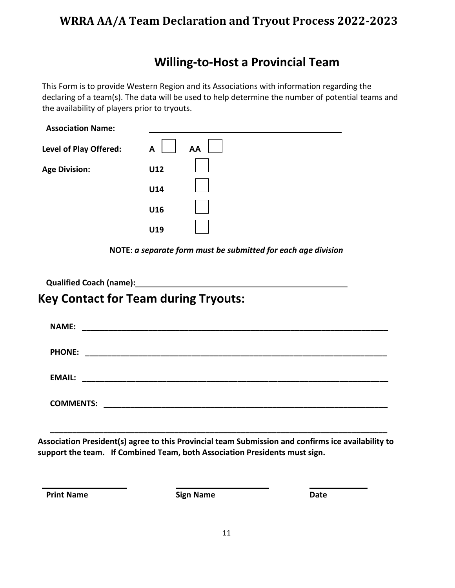## **Willing-to-Host a Provincial Team**

This Form is to provide Western Region and its Associations with information regarding the declaring of a team(s). The data will be used to help determine the number of potential teams and the availability of players prior to tryouts.

| <b>Association Name:</b>      |         |  |
|-------------------------------|---------|--|
| <b>Level of Play Offered:</b> | AA<br>A |  |
| <b>Age Division:</b>          | U12     |  |
|                               | U14     |  |
|                               | U16     |  |
|                               | U19     |  |

**NOTE**: *a separate form must be submitted for each age division*

**Qualified Coach (name):**

## **Key Contact for Team during Tryouts:**

| <b>NAME:</b>     |
|------------------|
| <b>PHONE:</b>    |
| <b>EMAIL:</b>    |
| <b>COMMENTS:</b> |

**Association President(s) agree to this Provincial team Submission and confirms ice availability to support the team. If Combined Team, both Association Presidents must sign.**

**\_\_\_\_\_\_\_\_\_\_\_\_\_\_\_\_\_\_\_\_\_\_\_\_\_\_\_\_\_\_\_\_\_\_\_\_\_\_\_\_\_\_\_\_\_\_\_\_\_\_\_\_\_\_\_\_\_\_\_\_\_\_\_\_\_\_\_\_\_\_\_\_\_\_\_\_**

**Print Name Date Sign Name Date Date**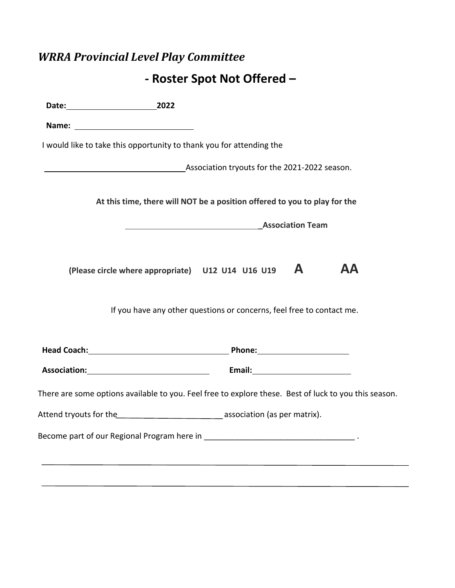# *WRRA Provincial Level Play Committee*

# **- Roster Spot Not Offered –**

| Date: 2022 |                                                                                                       |    |
|------------|-------------------------------------------------------------------------------------------------------|----|
|            |                                                                                                       |    |
|            | I would like to take this opportunity to thank you for attending the                                  |    |
|            | Association tryouts for the 2021-2022 season.                                                         |    |
|            | At this time, there will NOT be a position offered to you to play for the                             |    |
|            | <b>MALLES ASSOCIATION Team</b>                                                                        |    |
|            | A<br>(Please circle where appropriate) U12 U14 U16 U19                                                | AΑ |
|            | If you have any other questions or concerns, feel free to contact me.                                 |    |
|            |                                                                                                       |    |
|            |                                                                                                       |    |
|            | There are some options available to you. Feel free to explore these. Best of luck to you this season. |    |
|            |                                                                                                       |    |
|            |                                                                                                       |    |
|            |                                                                                                       |    |
|            |                                                                                                       |    |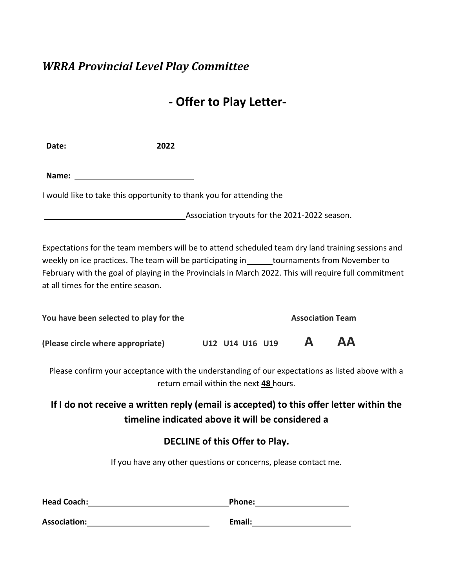#### *WRRA Provincial Level Play Committee*

## **- Offer to Play Letter-**

**Date: 2022**

**Name:** 

I would like to take this opportunity to thank you for attending the

**Association tryouts for the 2021-2022 season.** 

Expectations for the team members will be to attend scheduled team dry land training sessions and weekly on ice practices. The team will be participating in \_\_\_\_\_\_tournaments from November to February with the goal of playing in the Provincials in March 2022. This will require full commitment at all times for the entire season.

| You have been selected to play for the |  |                 | <b>Association Team</b> |  |           |
|----------------------------------------|--|-----------------|-------------------------|--|-----------|
| (Please circle where appropriate)      |  | U12 U14 U16 U19 |                         |  | <b>AA</b> |

Please confirm your acceptance with the understanding of our expectations as listed above with a return email within the next **48** hours.

#### **If I do not receive a written reply (email is accepted) to this offer letter within the timeline indicated above it will be considered a**

#### **DECLINE of this Offer to Play.**

If you have any other questions or concerns, please contact me.

| <b>Head Coach:</b>  | Phone: |
|---------------------|--------|
| <b>Association:</b> | Email: |